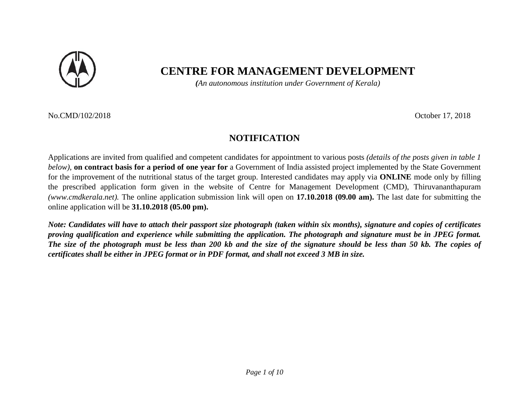

## **CENTRE FOR MANAGEMENT DEVELOPMENT**

*(An autonomous institution under Government of Kerala)*

No.CMD/102/2018 October 17, 2018

### **NOTIFICATION**

Applications are invited from qualified and competent candidates for appointment to various posts *(details of the posts given in table 1 below)*, **on contract basis for a period of one year for** a Government of India assisted project implemented by the State Government for the improvement of the nutritional status of the target group. Interested candidates may apply via **ONLINE** mode only by filling the prescribed application form given in the website of Centre for Management Development (CMD), Thiruvananthapuram *[\(www.cmdkerala.net\)](http://www.cmdkerala.net/).* The online application submission link will open on **17.10.2018 (09.00 am).** The last date for submitting the online application will be **31.10.2018 (05.00 pm).** 

*Note: Candidates will have to attach their passport size photograph (taken within six months), signature and copies of certificates proving qualification and experience while submitting the application. The photograph and signature must be in JPEG format. The size of the photograph must be less than 200 kb and the size of the signature should be less than 50 kb. The copies of certificates shall be either in JPEG format or in PDF format, and shall not exceed 3 MB in size.*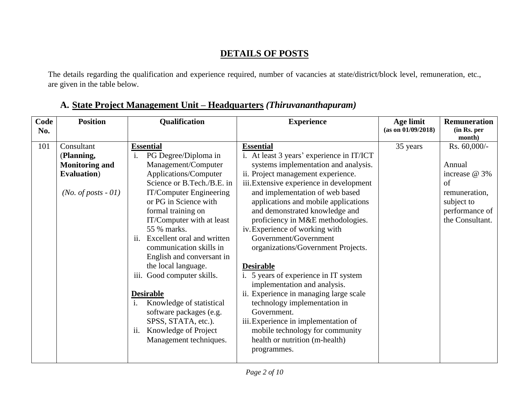## **DETAILS OF POSTS**

The details regarding the qualification and experience required, number of vacancies at state/district/block level, remuneration, etc., are given in the table below.

# **A. State Project Management Unit – Headquarters** *(Thiruvananthapuram)*

| Code<br>No. | <b>Position</b>                              | Qualification                             | <b>Experience</b>                                                     | Age limit<br>(as on 01/09/2018) | <b>Remuneration</b><br>(in Rs. per |
|-------------|----------------------------------------------|-------------------------------------------|-----------------------------------------------------------------------|---------------------------------|------------------------------------|
|             |                                              |                                           |                                                                       |                                 | month)                             |
| 101         | Consultant                                   | <b>Essential</b>                          | <b>Essential</b>                                                      | 35 years                        | Rs. 60,000/-                       |
|             | (Planning,                                   | PG Degree/Diploma in<br>$\mathbf{i}$ .    | i. At least 3 years' experience in IT/ICT                             |                                 |                                    |
|             | <b>Monitoring and</b><br><b>Evaluation</b> ) | Management/Computer                       | systems implementation and analysis.                                  |                                 | Annual                             |
|             |                                              | Applications/Computer                     | ii. Project management experience.                                    |                                 | increase @ 3%                      |
|             |                                              | Science or B.Tech./B.E. in                | iii. Extensive experience in development                              |                                 | of                                 |
|             | ( <i>No. of posts - 01</i> )                 | <b>IT/Computer Engineering</b>            | and implementation of web based                                       |                                 | remuneration.                      |
|             |                                              | or PG in Science with                     | applications and mobile applications                                  |                                 | subject to                         |
|             |                                              | formal training on                        | and demonstrated knowledge and                                        |                                 | performance of                     |
|             |                                              | IT/Computer with at least                 | proficiency in M&E methodologies.                                     |                                 | the Consultant.                    |
|             |                                              | 55 % marks.                               | iv. Experience of working with                                        |                                 |                                    |
|             |                                              | ii.<br>Excellent oral and written         | Government/Government                                                 |                                 |                                    |
|             |                                              | communication skills in                   | organizations/Government Projects.                                    |                                 |                                    |
|             |                                              | English and conversant in                 |                                                                       |                                 |                                    |
|             |                                              | the local language.                       | <b>Desirable</b>                                                      |                                 |                                    |
|             |                                              | iii. Good computer skills.                | i. 5 years of experience in IT system<br>implementation and analysis. |                                 |                                    |
|             |                                              | <b>Desirable</b>                          | ii. Experience in managing large scale                                |                                 |                                    |
|             |                                              | Knowledge of statistical<br>i.            | technology implementation in                                          |                                 |                                    |
|             |                                              | software packages (e.g.                   | Government.                                                           |                                 |                                    |
|             |                                              | SPSS, STATA, etc.).                       | iii. Experience in implementation of                                  |                                 |                                    |
|             |                                              | Knowledge of Project<br>$\overline{11}$ . | mobile technology for community                                       |                                 |                                    |
|             |                                              | Management techniques.                    | health or nutrition (m-health)                                        |                                 |                                    |
|             |                                              |                                           | programmes.                                                           |                                 |                                    |
|             |                                              |                                           |                                                                       |                                 |                                    |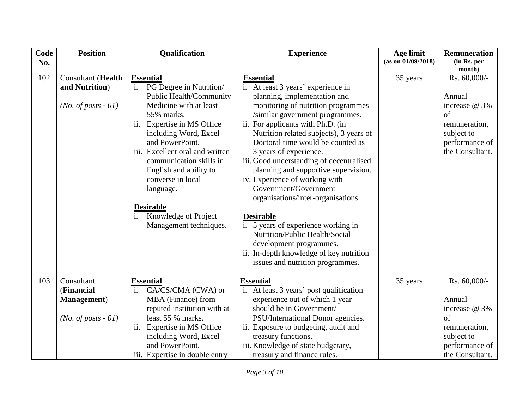| Code | <b>Position</b>                                                      | Qualification                                                                                                                                                                                                                                                                                                                                                                                  | <b>Experience</b>                                                                                                                                                                                                                                                                                                                                                                                                                                                                                                                                                                                                                                                                                          | Age limit          | <b>Remuneration</b>                                                                                                         |
|------|----------------------------------------------------------------------|------------------------------------------------------------------------------------------------------------------------------------------------------------------------------------------------------------------------------------------------------------------------------------------------------------------------------------------------------------------------------------------------|------------------------------------------------------------------------------------------------------------------------------------------------------------------------------------------------------------------------------------------------------------------------------------------------------------------------------------------------------------------------------------------------------------------------------------------------------------------------------------------------------------------------------------------------------------------------------------------------------------------------------------------------------------------------------------------------------------|--------------------|-----------------------------------------------------------------------------------------------------------------------------|
| No.  |                                                                      |                                                                                                                                                                                                                                                                                                                                                                                                |                                                                                                                                                                                                                                                                                                                                                                                                                                                                                                                                                                                                                                                                                                            | (as on 01/09/2018) | (in Rs. per                                                                                                                 |
| 102  | Consultant (Health<br>and Nutrition)<br>( <i>No. of posts - 01</i> ) | <b>Essential</b><br>PG Degree in Nutrition/<br>i.<br>Public Health/Community<br>Medicine with at least<br>55% marks.<br>ii. Expertise in MS Office<br>including Word, Excel<br>and PowerPoint.<br>iii. Excellent oral and written<br>communication skills in<br>English and ability to<br>converse in local<br>language.<br><b>Desirable</b><br>Knowledge of Project<br>Management techniques. | <b>Essential</b><br>i. At least 3 years' experience in<br>planning, implementation and<br>monitoring of nutrition programmes<br>/similar government programmes.<br>ii. For applicants with Ph.D. (in<br>Nutrition related subjects), 3 years of<br>Doctoral time would be counted as<br>3 years of experience.<br>iii. Good understanding of decentralised<br>planning and supportive supervision.<br>iv. Experience of working with<br>Government/Government<br>organisations/inter-organisations.<br><b>Desirable</b><br>i. 5 years of experience working in<br>Nutrition/Public Health/Social<br>development programmes.<br>ii. In-depth knowledge of key nutrition<br>issues and nutrition programmes. | 35 years           | month)<br>Rs. 60,000/-<br>Annual<br>increase @ 3%<br>of<br>remuneration,<br>subject to<br>performance of<br>the Consultant. |
| 103  | Consultant<br>(Financial                                             | <b>Essential</b><br>CA/CS/CMA (CWA) or<br>i.                                                                                                                                                                                                                                                                                                                                                   | <b>Essential</b><br>i. At least 3 years' post qualification                                                                                                                                                                                                                                                                                                                                                                                                                                                                                                                                                                                                                                                | 35 years           | Rs. 60,000/-                                                                                                                |
|      | <b>Management</b> )                                                  | MBA (Finance) from                                                                                                                                                                                                                                                                                                                                                                             | experience out of which 1 year                                                                                                                                                                                                                                                                                                                                                                                                                                                                                                                                                                                                                                                                             |                    | Annual                                                                                                                      |
|      |                                                                      | reputed institution with at                                                                                                                                                                                                                                                                                                                                                                    | should be in Government/                                                                                                                                                                                                                                                                                                                                                                                                                                                                                                                                                                                                                                                                                   |                    | increase @ 3%                                                                                                               |
|      | ( <i>No. of posts - 01</i> )                                         | least 55 % marks.                                                                                                                                                                                                                                                                                                                                                                              | PSU/International Donor agencies.                                                                                                                                                                                                                                                                                                                                                                                                                                                                                                                                                                                                                                                                          |                    | $\sigma$ f                                                                                                                  |
|      |                                                                      | Expertise in MS Office<br>ii.                                                                                                                                                                                                                                                                                                                                                                  | ii. Exposure to budgeting, audit and                                                                                                                                                                                                                                                                                                                                                                                                                                                                                                                                                                                                                                                                       |                    | remuneration,                                                                                                               |
|      |                                                                      | including Word, Excel<br>and PowerPoint.                                                                                                                                                                                                                                                                                                                                                       | treasury functions.<br>iii. Knowledge of state budgetary,                                                                                                                                                                                                                                                                                                                                                                                                                                                                                                                                                                                                                                                  |                    | subject to<br>performance of                                                                                                |
|      |                                                                      | iii. Expertise in double entry                                                                                                                                                                                                                                                                                                                                                                 | treasury and finance rules.                                                                                                                                                                                                                                                                                                                                                                                                                                                                                                                                                                                                                                                                                |                    | the Consultant.                                                                                                             |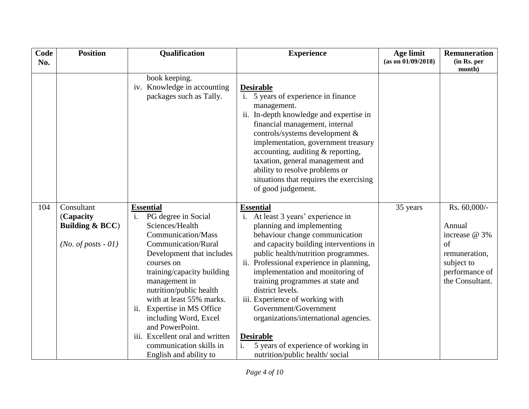| Code | <b>Position</b>                                                               | Qualification                                                                                                                                                                                                                                                                                                                                                                                                                     | <b>Experience</b>                                                                                                                                                                                                                                                                                                                                                                                                                                                                                                                                | Age limit          | <b>Remuneration</b>                                                                                                       |
|------|-------------------------------------------------------------------------------|-----------------------------------------------------------------------------------------------------------------------------------------------------------------------------------------------------------------------------------------------------------------------------------------------------------------------------------------------------------------------------------------------------------------------------------|--------------------------------------------------------------------------------------------------------------------------------------------------------------------------------------------------------------------------------------------------------------------------------------------------------------------------------------------------------------------------------------------------------------------------------------------------------------------------------------------------------------------------------------------------|--------------------|---------------------------------------------------------------------------------------------------------------------------|
| No.  |                                                                               |                                                                                                                                                                                                                                                                                                                                                                                                                                   |                                                                                                                                                                                                                                                                                                                                                                                                                                                                                                                                                  | (as on 01/09/2018) | (in Rs. per<br>month)                                                                                                     |
|      |                                                                               | book keeping.<br>iv. Knowledge in accounting<br>packages such as Tally.                                                                                                                                                                                                                                                                                                                                                           | <b>Desirable</b><br>i. 5 years of experience in finance<br>management.<br>ii. In-depth knowledge and expertise in<br>financial management, internal<br>controls/systems development &<br>implementation, government treasury<br>accounting, auditing & reporting,<br>taxation, general management and<br>ability to resolve problems or<br>situations that requires the exercising<br>of good judgement.                                                                                                                                         |                    |                                                                                                                           |
| 104  | Consultant<br>(Capacity<br>Building $& BCC$ )<br>( <i>No. of posts - 01</i> ) | <b>Essential</b><br>PG degree in Social<br>Sciences/Health<br><b>Communication/Mass</b><br>Communication/Rural<br>Development that includes<br>courses on<br>training/capacity building<br>management in<br>nutrition/public health<br>with at least 55% marks.<br>ii. Expertise in MS Office<br>including Word, Excel<br>and PowerPoint.<br>iii. Excellent oral and written<br>communication skills in<br>English and ability to | <b>Essential</b><br>i. At least 3 years' experience in<br>planning and implementing<br>behaviour change communication<br>and capacity building interventions in<br>public health/nutrition programmes.<br>ii. Professional experience in planning,<br>implementation and monitoring of<br>training programmes at state and<br>district levels.<br>iii. Experience of working with<br>Government/Government<br>organizations/international agencies.<br><b>Desirable</b><br>5 years of experience of working in<br>nutrition/public health/social | 35 years           | Rs. 60,000/-<br>Annual<br>increase @ 3%<br>$\sigma$ f<br>remuneration,<br>subject to<br>performance of<br>the Consultant. |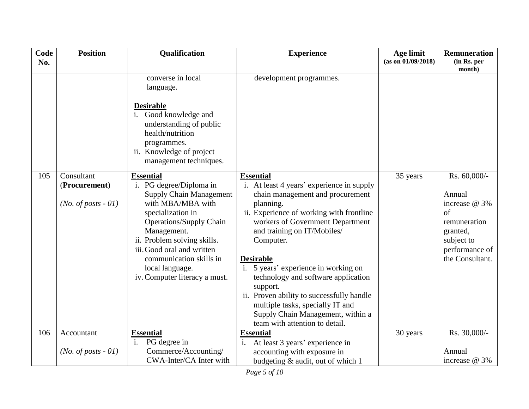| Code<br>No. | <b>Position</b>                                             | Qualification                                                                                                                                                                                                                                                                                                        | <b>Experience</b>                                                                                                                                                                                                                                                                                                                                                                                                                                                                                                 | Age limit<br>(as on 01/09/2018) | <b>Remuneration</b><br>(in Rs. per                                                                                                   |
|-------------|-------------------------------------------------------------|----------------------------------------------------------------------------------------------------------------------------------------------------------------------------------------------------------------------------------------------------------------------------------------------------------------------|-------------------------------------------------------------------------------------------------------------------------------------------------------------------------------------------------------------------------------------------------------------------------------------------------------------------------------------------------------------------------------------------------------------------------------------------------------------------------------------------------------------------|---------------------------------|--------------------------------------------------------------------------------------------------------------------------------------|
|             |                                                             | converse in local<br>language.<br><b>Desirable</b><br>i. Good knowledge and<br>understanding of public<br>health/nutrition<br>programmes.<br>ii. Knowledge of project<br>management techniques.                                                                                                                      | development programmes.                                                                                                                                                                                                                                                                                                                                                                                                                                                                                           |                                 | month)                                                                                                                               |
| 105         | Consultant<br>(Procurement)<br>( <i>No. of posts - 01</i> ) | <b>Essential</b><br>i. PG degree/Diploma in<br><b>Supply Chain Management</b><br>with MBA/MBA with<br>specialization in<br><b>Operations/Supply Chain</b><br>Management.<br>ii. Problem solving skills.<br>iii. Good oral and written<br>communication skills in<br>local language.<br>iv. Computer literacy a must. | <b>Essential</b><br>i. At least 4 years' experience in supply<br>chain management and procurement<br>planning.<br>ii. Experience of working with frontline<br>workers of Government Department<br>and training on IT/Mobiles/<br>Computer.<br><b>Desirable</b><br>i. 5 years' experience in working on<br>technology and software application<br>support.<br>ii. Proven ability to successfully handle<br>multiple tasks, specially IT and<br>Supply Chain Management, within a<br>team with attention to detail. | 35 years                        | Rs. 60,000/-<br>Annual<br>increase @ 3%<br>$\sigma$ f<br>remuneration<br>granted,<br>subject to<br>performance of<br>the Consultant. |
| 106         | Accountant<br>( <i>No. of posts - 01</i> )                  | <b>Essential</b><br>PG degree in<br>$\mathbf{i}$ .<br>Commerce/Accounting/<br>CWA-Inter/CA Inter with                                                                                                                                                                                                                | <b>Essential</b><br>At least 3 years' experience in<br>i.<br>accounting with exposure in<br>budgeting & audit, out of which 1                                                                                                                                                                                                                                                                                                                                                                                     | 30 years                        | Rs. 30,000/-<br>Annual<br>increase @ 3%                                                                                              |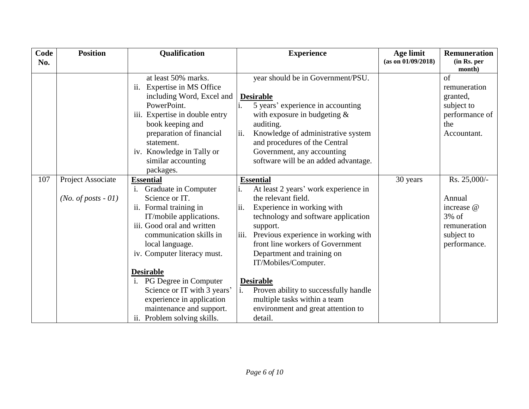| Code | <b>Position</b>       | Qualification                                        | <b>Experience</b>                                                          | Age limit          | <b>Remuneration</b>    |
|------|-----------------------|------------------------------------------------------|----------------------------------------------------------------------------|--------------------|------------------------|
| No.  |                       |                                                      |                                                                            | (as on 01/09/2018) | (in Rs. per<br>month)  |
|      |                       | at least 50% marks.<br>Expertise in MS Office<br>11. | year should be in Government/PSU.                                          |                    | of<br>remuneration     |
|      |                       | including Word, Excel and<br>PowerPoint.             | <b>Desirable</b><br>5 years' experience in accounting                      |                    | granted,<br>subject to |
|      |                       | iii. Expertise in double entry                       | with exposure in budgeting $\&$                                            |                    | performance of         |
|      |                       | book keeping and                                     | auditing.                                                                  |                    | the                    |
|      |                       | preparation of financial<br>statement.               | Knowledge of administrative system<br>ii.<br>and procedures of the Central |                    | Accountant.            |
|      |                       | iv. Knowledge in Tally or                            | Government, any accounting                                                 |                    |                        |
|      |                       | similar accounting                                   | software will be an added advantage.                                       |                    |                        |
|      |                       | packages.                                            |                                                                            |                    |                        |
| 107  | Project Associate     | <b>Essential</b>                                     | <b>Essential</b>                                                           | 30 years           | Rs. 25,000/-           |
|      |                       | <i>i.</i> Graduate in Computer                       | At least 2 years' work experience in                                       |                    |                        |
|      | $(No. of posts - 01)$ | Science or IT.                                       | the relevant field.                                                        |                    | Annual                 |
|      |                       | ii. Formal training in                               | Experience in working with<br>$\overline{11}$ .                            |                    | increase @             |
|      |                       | IT/mobile applications.                              | technology and software application                                        |                    | $3%$ of                |
|      |                       | iii. Good oral and written                           | support.                                                                   |                    | remuneration           |
|      |                       | communication skills in                              | iii. Previous experience in working with                                   |                    | subject to             |
|      |                       | local language.                                      | front line workers of Government                                           |                    | performance.           |
|      |                       | iv. Computer literacy must.                          | Department and training on<br>IT/Mobiles/Computer.                         |                    |                        |
|      |                       | <b>Desirable</b>                                     |                                                                            |                    |                        |
|      |                       | i. PG Degree in Computer                             | <b>Desirable</b>                                                           |                    |                        |
|      |                       | Science or IT with 3 years'                          | Proven ability to successfully handle                                      |                    |                        |
|      |                       | experience in application                            | multiple tasks within a team                                               |                    |                        |
|      |                       | maintenance and support.                             | environment and great attention to                                         |                    |                        |
|      |                       | ii. Problem solving skills.                          | detail.                                                                    |                    |                        |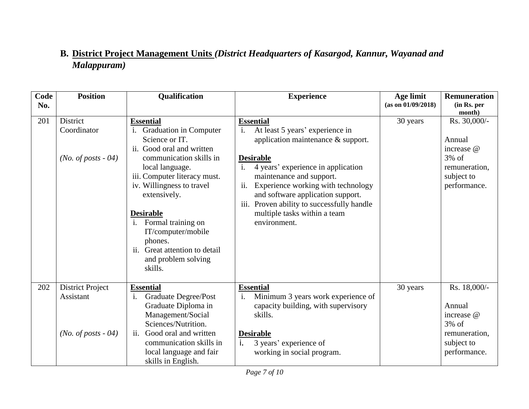## **B. District Project Management Units** *(District Headquarters of Kasargod, Kannur, Wayanad and Malappuram)*

| Code<br>No. | <b>Position</b>              | Qualification                                       | <b>Experience</b>                                           | Age limit<br>(as on 01/09/2018) | <b>Remuneration</b><br>(in Rs. per |
|-------------|------------------------------|-----------------------------------------------------|-------------------------------------------------------------|---------------------------------|------------------------------------|
|             |                              |                                                     |                                                             |                                 | month)                             |
| 201         | District                     | <b>Essential</b>                                    | <b>Essential</b>                                            | 30 years                        | Rs. 30,000/-                       |
|             | Coordinator                  | i. Graduation in Computer                           | At least 5 years' experience in                             |                                 |                                    |
|             |                              | Science or IT.                                      | application maintenance $\&$ support.                       |                                 | Annual                             |
|             |                              | ii. Good oral and written                           |                                                             |                                 | increase @                         |
|             | ( <i>No. of posts - 04</i> ) | communication skills in                             | <b>Desirable</b>                                            |                                 | $3\%$ of                           |
|             |                              | local language.                                     | 4 years' experience in application                          |                                 | remuneration,                      |
|             |                              | iii. Computer literacy must.                        | maintenance and support.                                    |                                 | subject to                         |
|             |                              | iv. Willingness to travel                           | Experience working with technology<br>ii.                   |                                 | performance.                       |
|             |                              | extensively.                                        | and software application support.                           |                                 |                                    |
|             |                              |                                                     | Proven ability to successfully handle<br>$\overline{111}$ . |                                 |                                    |
|             |                              | <b>Desirable</b>                                    | multiple tasks within a team                                |                                 |                                    |
|             |                              | i. Formal training on                               | environment.                                                |                                 |                                    |
|             |                              | IT/computer/mobile                                  |                                                             |                                 |                                    |
|             |                              | phones.                                             |                                                             |                                 |                                    |
|             |                              | ii.<br>Great attention to detail                    |                                                             |                                 |                                    |
|             |                              | and problem solving                                 |                                                             |                                 |                                    |
|             |                              | skills.                                             |                                                             |                                 |                                    |
|             |                              |                                                     |                                                             |                                 |                                    |
| 202         | <b>District Project</b>      | <b>Essential</b>                                    | <b>Essential</b>                                            | 30 years                        | Rs. 18,000/-                       |
|             | Assistant                    | <b>Graduate Degree/Post</b><br>$\mathbf{i}$ .       | Minimum 3 years work experience of                          |                                 |                                    |
|             |                              | Graduate Diploma in                                 | capacity building, with supervisory                         |                                 | Annual                             |
|             |                              | Management/Social                                   | skills.                                                     |                                 | increase @                         |
|             |                              | Sciences/Nutrition.                                 |                                                             |                                 | $3%$ of                            |
|             | (No. of posts $-04$ )        | Good oral and written<br>$\overline{\mathbf{11}}$ . | <b>Desirable</b>                                            |                                 | remuneration,                      |
|             |                              | communication skills in                             | i.<br>3 years' experience of                                |                                 | subject to                         |
|             |                              | local language and fair                             | working in social program.                                  |                                 | performance.                       |
|             |                              | skills in English.                                  |                                                             |                                 |                                    |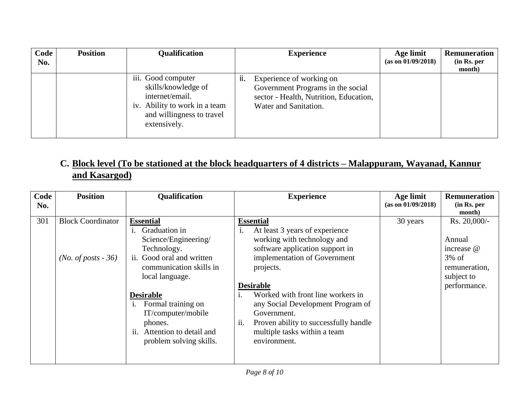| Code<br>No. | <b>Position</b> | <b>Qualification</b>                                                                                                                       |     | <b>Experience</b>                                                                                                                | Age limit<br>(as on 01/09/2018) | <b>Remuneration</b><br>(in Rs. per<br>month) |
|-------------|-----------------|--------------------------------------------------------------------------------------------------------------------------------------------|-----|----------------------------------------------------------------------------------------------------------------------------------|---------------------------------|----------------------------------------------|
|             |                 | iii. Good computer<br>skills/knowledge of<br>internet/email.<br>iv. Ability to work in a team<br>and willingness to travel<br>extensively. | ii. | Experience of working on<br>Government Programs in the social<br>sector - Health, Nutrition, Education,<br>Water and Sanitation. |                                 |                                              |

## **C. Block level (To be stationed at the block headquarters of 4 districts – Malappuram, Wayanad, Kannur and Kasargod)**

| Code<br>No. | <b>Position</b>                                   | Qualification                                                                                                                                                                                                                                                                                              | <b>Experience</b>                                                                                                                                                                                                                                                                                                                                                                    | Age limit<br>(as on 01/09/2018) | <b>Remuneration</b><br>(in Rs. per<br>month)                                                       |
|-------------|---------------------------------------------------|------------------------------------------------------------------------------------------------------------------------------------------------------------------------------------------------------------------------------------------------------------------------------------------------------------|--------------------------------------------------------------------------------------------------------------------------------------------------------------------------------------------------------------------------------------------------------------------------------------------------------------------------------------------------------------------------------------|---------------------------------|----------------------------------------------------------------------------------------------------|
| 301         | <b>Block Coordinator</b><br>$(No. of posts - 36)$ | <b>Essential</b><br>Graduation in<br>$\mathbf{1}$ .<br>Science/Engineering/<br>Technology.<br>ii. Good oral and written<br>communication skills in<br>local language.<br><b>Desirable</b><br>Formal training on<br>IT/computer/mobile<br>phones.<br>ii. Attention to detail and<br>problem solving skills. | <b>Essential</b><br>At least 3 years of experience<br>i.<br>working with technology and<br>software application support in<br>implementation of Government<br>projects.<br><b>Desirable</b><br>Worked with front line workers in<br>any Social Development Program of<br>Government.<br>ii.<br>Proven ability to successfully handle<br>multiple tasks within a team<br>environment. | 30 years                        | $Rs. 20,000/$ -<br>Annual<br>increase @<br>$3\%$ of<br>remuneration,<br>subject to<br>performance. |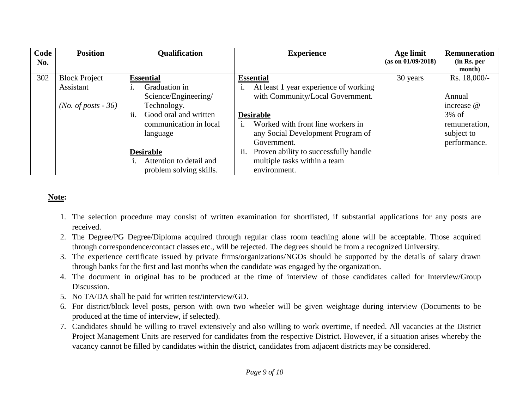| Code<br>No. | <b>Position</b>              | Qualification                | <b>Experience</b>                            | Age limit<br>(as on 01/09/2018) | <b>Remuneration</b><br>(in Rs. per |
|-------------|------------------------------|------------------------------|----------------------------------------------|---------------------------------|------------------------------------|
|             |                              |                              |                                              |                                 | month)                             |
| 302         | <b>Block Project</b>         | <b>Essential</b>             | <b>Essential</b>                             | 30 years                        | Rs. 18,000/-                       |
|             | Assistant                    | Graduation in                | At least 1 year experience of working        |                                 |                                    |
|             |                              | Science/Engineering/         | with Community/Local Government.             |                                 | Annual                             |
|             | ( <i>No. of posts - 36</i> ) | Technology.                  |                                              |                                 | increase @                         |
|             |                              | ii.<br>Good oral and written | <b>Desirable</b>                             |                                 | $3\%$ of                           |
|             |                              | communication in local       | Worked with front line workers in            |                                 | remuneration,                      |
|             |                              | language                     | any Social Development Program of            |                                 | subject to                         |
|             |                              |                              | Government.                                  |                                 | performance.                       |
|             |                              | <b>Desirable</b>             | Proven ability to successfully handle<br>ii. |                                 |                                    |
|             |                              | Attention to detail and      | multiple tasks within a team                 |                                 |                                    |
|             |                              | problem solving skills.      | environment.                                 |                                 |                                    |

#### **Note:**

- 1. The selection procedure may consist of written examination for shortlisted, if substantial applications for any posts are received.
- 2. The Degree/PG Degree/Diploma acquired through regular class room teaching alone will be acceptable. Those acquired through correspondence/contact classes etc., will be rejected. The degrees should be from a recognized University.
- 3. The experience certificate issued by private firms/organizations/NGOs should be supported by the details of salary drawn through banks for the first and last months when the candidate was engaged by the organization.
- 4. The document in original has to be produced at the time of interview of those candidates called for Interview/Group Discussion.
- 5. No TA/DA shall be paid for written test/interview/GD.
- 6. For district/block level posts, person with own two wheeler will be given weightage during interview (Documents to be produced at the time of interview, if selected).
- 7. Candidates should be willing to travel extensively and also willing to work overtime, if needed. All vacancies at the District Project Management Units are reserved for candidates from the respective District. However, if a situation arises whereby the vacancy cannot be filled by candidates within the district, candidates from adjacent districts may be considered.